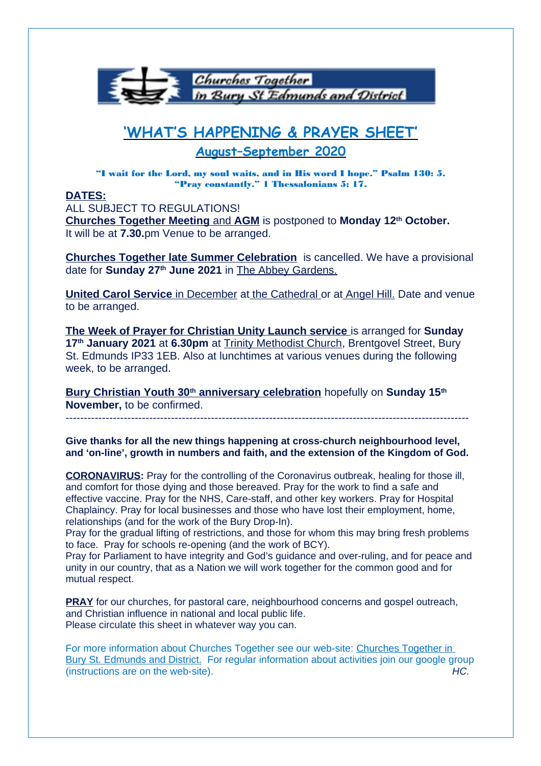

# **'WHAT'S HAPPENING & PRAYER SHEET'**

**August–September 2020**

"I wait for the Lord, my soul waits, and in His word I hope." Psalm 130: 5. "Pray constantly." 1 Thessalonians 5: 17.

## **DATES:**

ALL SUBJECT TO REGULATIONS!  **Churches Together Meeting** and **AGM** is postponed to **Monday 12th October.**  It will be at **7.30.**pm Venue to be arranged.

**Churches Together late Summer Celebration** is cancelled. We have a provisional date for **Sunday 27th June 2021** in The Abbey Gardens.

 **United Carol Service** in December at the Cathedral or at Angel Hill. Date and venue to be arranged.

 **The Week of Prayer for Christian Unity Launch service** is arranged for **Sunday 17th January 2021** at **6.30pm** at Trinity Methodist Church, Brentgovel Street, Bury St. Edmunds IP33 1EB. Also at lunchtimes at various venues during the following week, to be arranged.

 **Bury Christian Youth 30th anniversary celebration** hopefully on **Sunday 15th November,** to be confirmed.

---------------------------------------------------------------------------------------------------------------

**Give thanks for all the new things happening at cross-church neighbourhood level, and 'on-line', growth in numbers and faith, and the extension of the Kingdom of God.**

**CORONAVIRUS:** Pray for the controlling of the Coronavirus outbreak, healing for those ill, and comfort for those dying and those bereaved. Pray for the work to find a safe and effective vaccine. Pray for the NHS, Care-staff, and other key workers. Pray for Hospital Chaplaincy. Pray for local businesses and those who have lost their employment, home, relationships (and for the work of the Bury Drop-In).

Pray for the gradual lifting of restrictions, and those for whom this may bring fresh problems to face. Pray for schools re-opening (and the work of BCY).

Pray for Parliament to have integrity and God's guidance and over-ruling, and for peace and unity in our country, that as a Nation we will work together for the common good and for mutual respect.

**PRAY** for our churches, for pastoral care, neighbourhood concerns and gospel outreach, and Christian influence in national and local public life. Please circulate this sheet in whatever way you can.

For more information about Churches Together see our web-site: Churches Together in Bury St. Edmunds and District. For regular information about activities join our google group  $($  instructions are on the web-site).  $H$ C.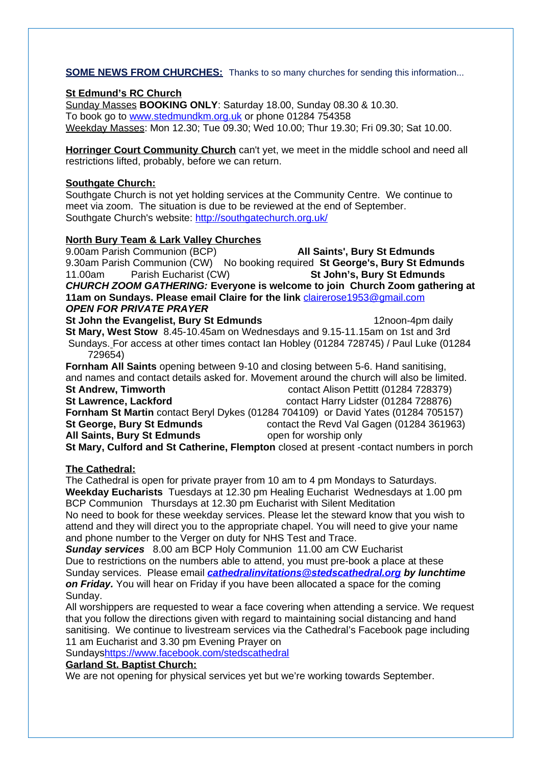## **SOME NEWS FROM CHURCHES:** Thanks to so many churches for sending this information...

## **St Edmund's RC Church**

Sunday Masses **BOOKING ONLY**: Saturday 18.00, Sunday 08.30 & 10.30. To book go to [www.stedmundkm.org.uk](http://www.stedmundkm.org.uk/) or phone 01284 754358 Weekday Masses: Mon 12.30; Tue 09.30; Wed 10.00; Thur 19.30; Fri 09.30; Sat 10.00.

**Horringer Court Community Church** can't yet, we meet in the middle school and need all restrictions lifted, probably, before we can return.

## **Southgate Church:**

Southgate Church is not yet holding services at the Community Centre. We continue to meet via zoom. The situation is due to be reviewed at the end of September. Southgate Church's website:<http://southgatechurch.org.uk/>

## **North Bury Team & Lark Valley Churches**

9.00am Parish Communion (BCP) **All Saints', Bury St Edmunds** 9.30am Parish Communion (CW) No booking required **St George's, Bury St Edmunds** 11.00am Parish Eucharist (CW) **St John's, Bury St Edmunds CHURCH ZOOM GATHERING: Everyone is welcome to join Church Zoom gathering at 11am on Sundays. Please email Claire for the link** [clairerose1953@gmail.com](mailto:clairerose1953@gmail.com) **OPEN FOR PRIVATE PRAYER**

**St John the Evangelist, Bury St Edmunds** 12noon-4pm daily **St Mary, West Stow** 8.45-10.45am on Wednesdays and 9.15-11.15am on 1st and 3rd Sundays. For access at other times contact Ian Hobley (01284 728745) / Paul Luke (01284 729654)

**Fornham All Saints** opening between 9-10 and closing between 5-6. Hand sanitising, and names and contact details asked for. Movement around the church will also be limited. **St Andrew, Timworth** contact Alison Pettitt (01284 728379) **St Lawrence, Lackford** contact Harry Lidster (01284 728876) **Fornham St Martin** contact Beryl Dykes (01284 704109) or David Yates (01284 705157) **St George, Bury St Edmunds contact the Revd Val Gagen (01284 361963)** All Saints, Bury St Edmunds open for worship only **St Mary, Culford and St Catherine, Flempton** closed at present -contact numbers in porch

## **The Cathedral:**

The Cathedral is open for private prayer from 10 am to 4 pm Mondays to Saturdays. **Weekday Eucharists** Tuesdays at 12.30 pm Healing Eucharist Wednesdays at 1.00 pm BCP Communion Thursdays at 12.30 pm Eucharist with Silent Meditation No need to book for these weekday services. Please let the steward know that you wish to attend and they will direct you to the appropriate chapel. You will need to give your name and phone number to the Verger on duty for NHS Test and Trace.

**Sunday services** 8.00 am BCP Holy Communion 11.00 am CW Eucharist Due to restrictions on the numbers able to attend, you must pre-book a place at these Sunday services. Please email **[cathedralinvitations@stedscathedral.org](mailto:cathedralinvitations@stedscathedral.org) by lunchtime on Friday.** You will hear on Friday if you have been allocated a space for the coming Sunday.

All worshippers are requested to wear a face covering when attending a service. We request that you follow the directions given with regard to maintaining social distancing and hand sanitising. We continue to livestream services via the Cathedral's Facebook page including 11 am Eucharist and 3.30 pm Evening Prayer on

Sunday[shttps://www.facebook.com/stedscathedral](https://www.facebook.com/stedscathedral)

## **Garland St. Baptist Church:**

We are not opening for physical services yet but we're working towards September.